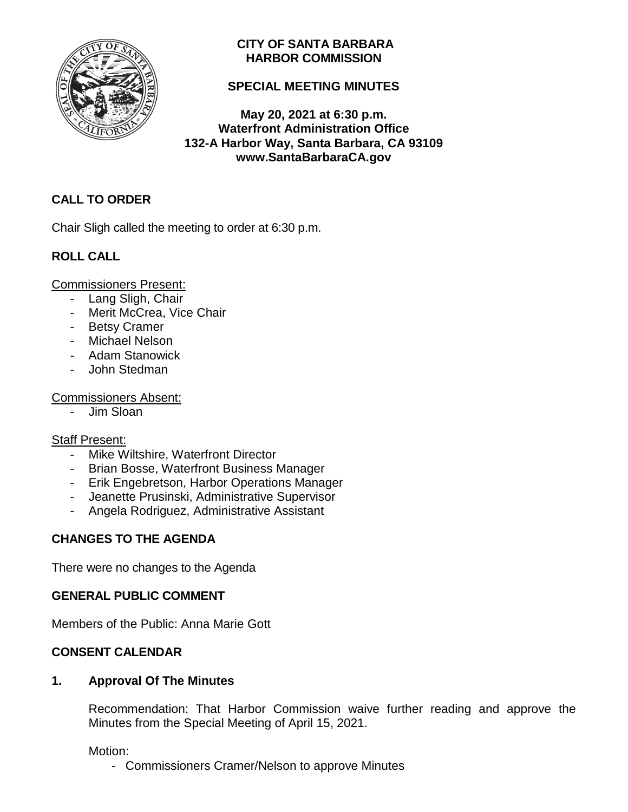

## **CITY OF SANTA BARBARA HARBOR COMMISSION**

# **SPECIAL MEETING MINUTES**

**May 20, 2021 at 6:30 p.m. Waterfront Administration Office 132-A Harbor Way, Santa Barbara, CA 93109 www.SantaBarbaraCA.gov**

# **CALL TO ORDER**

Chair Sligh called the meeting to order at 6:30 p.m.

# **ROLL CALL**

Commissioners Present:

- Lang Sligh, Chair
- Merit McCrea, Vice Chair
- Betsy Cramer
- Michael Nelson
- Adam Stanowick
- John Stedman

## Commissioners Absent:

- Jim Sloan

## Staff Present:

- Mike Wiltshire, Waterfront Director
- Brian Bosse, Waterfront Business Manager
- Erik Engebretson, Harbor Operations Manager
- Jeanette Prusinski, Administrative Supervisor
- Angela Rodriguez, Administrative Assistant

## **CHANGES TO THE AGENDA**

There were no changes to the Agenda

## **GENERAL PUBLIC COMMENT**

Members of the Public: Anna Marie Gott

## **CONSENT CALENDAR**

## **1. Approval Of The Minutes**

Recommendation: That Harbor Commission waive further reading and approve the Minutes from the Special Meeting of April 15, 2021.

Motion:

- Commissioners Cramer/Nelson to approve Minutes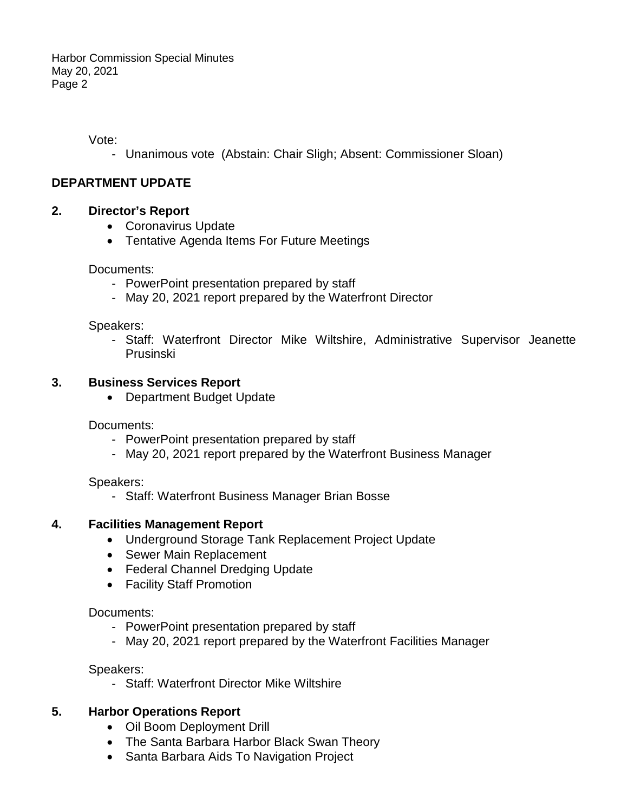Vote:

- Unanimous vote (Abstain: Chair Sligh; Absent: Commissioner Sloan)

## **DEPARTMENT UPDATE**

## **2. Director's Report**

- Coronavirus Update
- Tentative Agenda Items For Future Meetings

#### Documents:

- PowerPoint presentation prepared by staff
- May 20, 2021 report prepared by the Waterfront Director

#### Speakers:

- Staff: Waterfront Director Mike Wiltshire, Administrative Supervisor Jeanette Prusinski

## **3. Business Services Report**

• Department Budget Update

Documents:

- PowerPoint presentation prepared by staff
- May 20, 2021 report prepared by the Waterfront Business Manager

Speakers:

- Staff: Waterfront Business Manager Brian Bosse

## **4. Facilities Management Report**

- Underground Storage Tank Replacement Project Update
- Sewer Main Replacement
- Federal Channel Dredging Update
- Facility Staff Promotion

## Documents:

- PowerPoint presentation prepared by staff
- May 20, 2021 report prepared by the Waterfront Facilities Manager

## Speakers:

- Staff: Waterfront Director Mike Wiltshire

## **5. Harbor Operations Report**

- Oil Boom Deployment Drill
- The Santa Barbara Harbor Black Swan Theory
- Santa Barbara Aids To Navigation Project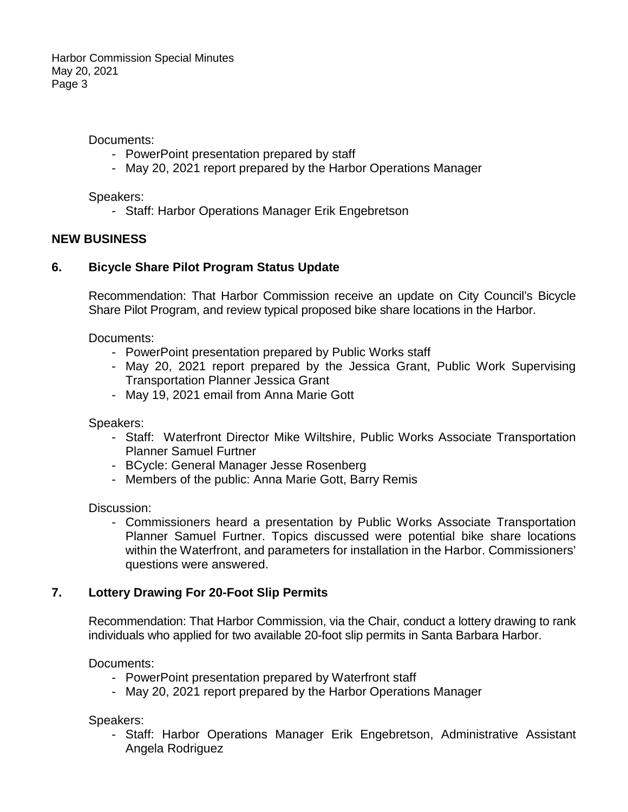Documents:

- PowerPoint presentation prepared by staff
- May 20, 2021 report prepared by the Harbor Operations Manager

Speakers:

- Staff: Harbor Operations Manager Erik Engebretson

#### **NEW BUSINESS**

#### **6. Bicycle Share Pilot Program Status Update**

Recommendation: That Harbor Commission receive an update on City Council's Bicycle Share Pilot Program, and review typical proposed bike share locations in the Harbor.

Documents:

- PowerPoint presentation prepared by Public Works staff
- May 20, 2021 report prepared by the Jessica Grant, Public Work Supervising Transportation Planner Jessica Grant
- May 19, 2021 email from Anna Marie Gott

Speakers:

- Staff: Waterfront Director Mike Wiltshire, Public Works Associate Transportation Planner Samuel Furtner
- BCycle: General Manager Jesse Rosenberg
- Members of the public: Anna Marie Gott, Barry Remis

Discussion:

- Commissioners heard a presentation by Public Works Associate Transportation Planner Samuel Furtner. Topics discussed were potential bike share locations within the Waterfront, and parameters for installation in the Harbor. Commissioners' questions were answered.

## **7. Lottery Drawing For 20-Foot Slip Permits**

Recommendation: That Harbor Commission, via the Chair, conduct a lottery drawing to rank individuals who applied for two available 20-foot slip permits in Santa Barbara Harbor.

Documents:

- PowerPoint presentation prepared by Waterfront staff
- May 20, 2021 report prepared by the Harbor Operations Manager

Speakers:

- Staff: Harbor Operations Manager Erik Engebretson, Administrative Assistant Angela Rodriguez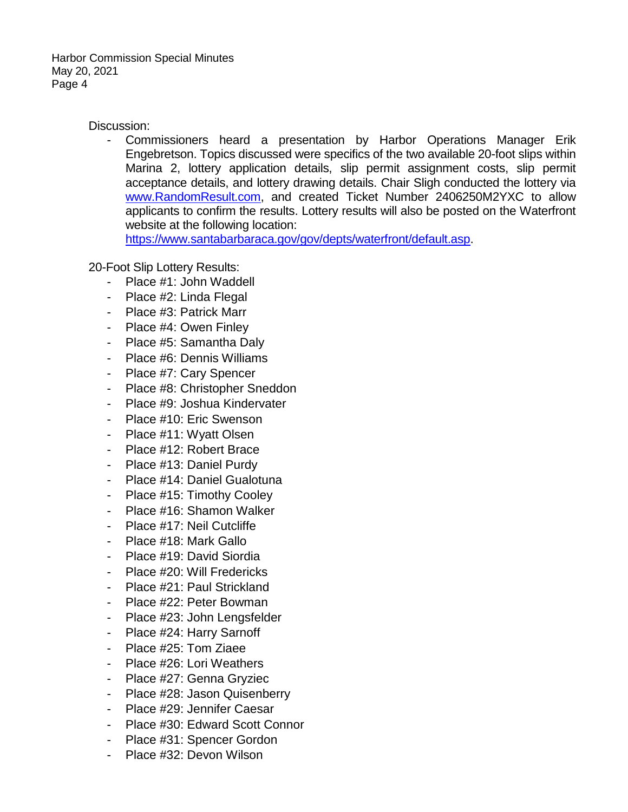Discussion:

Commissioners heard a presentation by Harbor Operations Manager Erik Engebretson. Topics discussed were specifics of the two available 20-foot slips within Marina 2, lottery application details, slip permit assignment costs, slip permit acceptance details, and lottery drawing details. Chair Sligh conducted the lottery via [www.RandomResult.com,](http://www.randomresult.com/) and created Ticket Number 2406250M2YXC to allow applicants to confirm the results. Lottery results will also be posted on the Waterfront website at the following location:

[https://www.santabarbaraca.gov/gov/depts/waterfront/default.asp.](https://www.santabarbaraca.gov/gov/depts/waterfront/default.asp)

20-Foot Slip Lottery Results:

- Place #1: John Waddell
- Place #2: Linda Flegal
- Place #3: Patrick Marr
- Place #4: Owen Finley
- Place #5: Samantha Daly
- Place #6: Dennis Williams
- Place #7: Cary Spencer
- Place #8: Christopher Sneddon
- Place #9: Joshua Kindervater
- Place #10: Eric Swenson
- Place #11: Wyatt Olsen
- Place #12: Robert Brace
- Place #13: Daniel Purdy
- Place #14: Daniel Gualotuna
- Place #15: Timothy Cooley
- Place #16: Shamon Walker
- Place #17: Neil Cutcliffe
- Place #18: Mark Gallo
- Place #19: David Siordia
- Place #20: Will Fredericks
- Place #21: Paul Strickland
- Place #22: Peter Bowman
- Place #23: John Lengsfelder
- Place #24: Harry Sarnoff
- Place #25: Tom Ziaee
- Place #26: Lori Weathers
- Place #27: Genna Gryziec
- Place #28: Jason Quisenberry
- Place #29: Jennifer Caesar
- Place #30: Edward Scott Connor
- Place #31: Spencer Gordon
- Place #32: Devon Wilson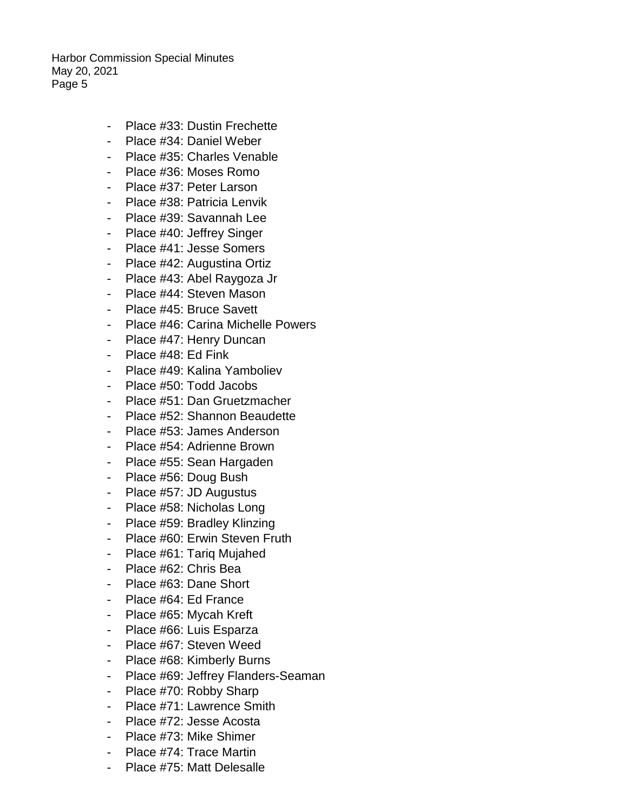- Place #33: Dustin Frechette
- Place #34: Daniel Weber
- Place #35: Charles Venable
- Place #36: Moses Romo
- Place #37: Peter Larson
- Place #38: Patricia Lenvik
- Place #39: Savannah Lee
- Place #40: Jeffrey Singer
- Place #41: Jesse Somers
- Place #42: Augustina Ortiz
- Place #43: Abel Raygoza Jr
- Place #44: Steven Mason
- Place #45: Bruce Savett
- Place #46: Carina Michelle Powers
- Place #47: Henry Duncan
- Place #48: Ed Fink
- Place #49: Kalina Yamboliev
- Place #50: Todd Jacobs
- Place #51: Dan Gruetzmacher
- Place #52: Shannon Beaudette
- Place #53: James Anderson
- Place #54: Adrienne Brown
- Place #55: Sean Hargaden
- Place #56: Doug Bush
- Place #57: JD Augustus
- Place #58: Nicholas Long
- Place #59: Bradley Klinzing
- Place #60: Erwin Steven Fruth
- Place #61: Tarig Mujahed
- Place #62: Chris Bea
- Place #63: Dane Short
- Place #64: Ed France
- Place #65: Mycah Kreft
- Place #66: Luis Esparza
- Place #67: Steven Weed
- Place #68: Kimberly Burns
- Place #69: Jeffrey Flanders-Seaman
- Place #70: Robby Sharp
- Place #71: Lawrence Smith
- Place #72: Jesse Acosta
- Place #73: Mike Shimer
- Place #74: Trace Martin
- Place #75: Matt Delesalle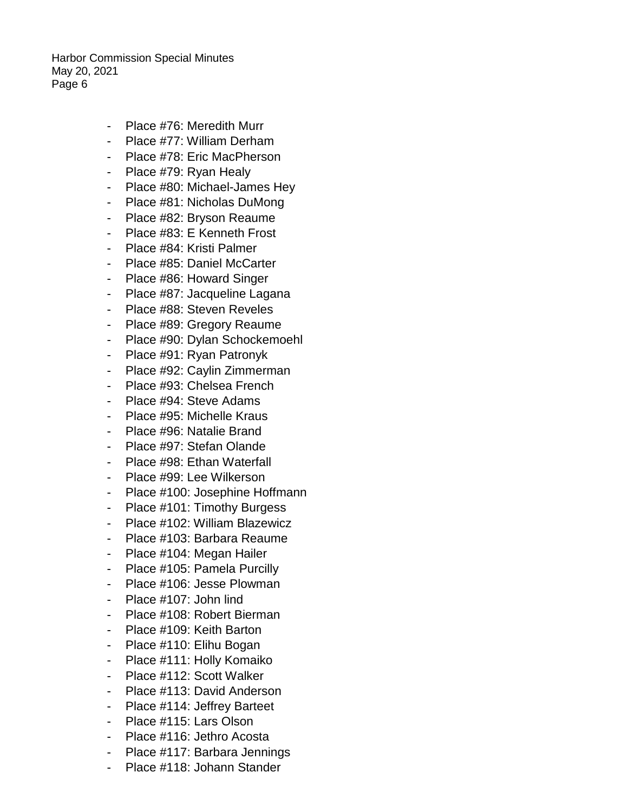- Place #76: Meredith Murr
- Place #77: William Derham
- Place #78: Eric MacPherson
- Place #79: Ryan Healy
- Place #80: Michael-James Hey
- Place #81: Nicholas DuMong
- Place #82: Bryson Reaume
- Place #83: E Kenneth Frost
- Place #84: Kristi Palmer
- Place #85: Daniel McCarter
- Place #86: Howard Singer
- Place #87: Jacqueline Lagana
- Place #88: Steven Reveles
- Place #89: Gregory Reaume
- Place #90: Dylan Schockemoehl
- Place #91: Ryan Patronyk
- Place #92: Caylin Zimmerman
- Place #93: Chelsea French
- Place #94: Steve Adams
- Place #95: Michelle Kraus
- Place #96: Natalie Brand
- Place #97: Stefan Olande
- Place #98: Ethan Waterfall
- Place #99: Lee Wilkerson
- Place #100: Josephine Hoffmann
- Place #101: Timothy Burgess
- Place #102: William Blazewicz
- Place #103: Barbara Reaume
- Place #104: Megan Hailer
- Place #105: Pamela Purcilly
- Place #106: Jesse Plowman
- Place #107: John lind
- Place #108: Robert Bierman
- Place #109: Keith Barton
- Place #110: Elihu Bogan
- Place #111: Holly Komaiko
- Place #112: Scott Walker
- Place #113: David Anderson
- Place #114: Jeffrey Barteet
- Place #115: Lars Olson
- Place #116: Jethro Acosta
- Place #117: Barbara Jennings
- Place #118: Johann Stander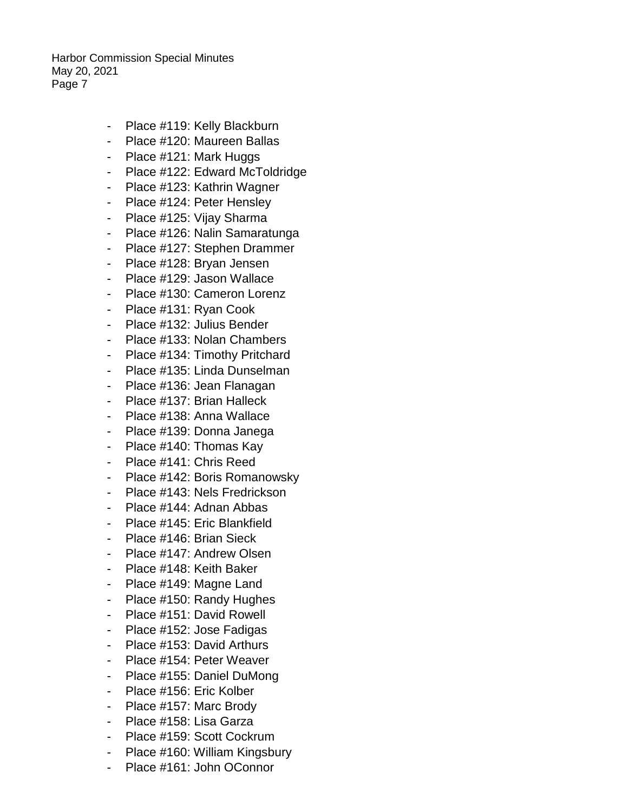- Place #119: Kelly Blackburn
- Place #120: Maureen Ballas
- Place #121: Mark Huggs
- Place #122: Edward McToldridge
- Place #123: Kathrin Wagner
- Place #124: Peter Hensley
- Place #125: Vijay Sharma
- Place #126: Nalin Samaratunga
- Place #127: Stephen Drammer
- Place #128: Bryan Jensen
- Place #129: Jason Wallace
- Place #130: Cameron Lorenz
- Place #131: Ryan Cook
- Place #132: Julius Bender
- Place #133: Nolan Chambers
- Place #134: Timothy Pritchard
- Place #135: Linda Dunselman
- Place #136: Jean Flanagan
- Place #137: Brian Halleck
- Place #138: Anna Wallace
- Place #139: Donna Janega
- Place #140: Thomas Kay
- Place #141: Chris Reed
- Place #142: Boris Romanowsky
- Place #143: Nels Fredrickson
- Place #144: Adnan Abbas
- Place #145: Eric Blankfield
- Place #146: Brian Sieck
- Place #147: Andrew Olsen
- Place #148: Keith Baker
- Place #149: Magne Land
- Place #150: Randy Hughes
- Place #151: David Rowell
- Place #152: Jose Fadigas
- Place #153: David Arthurs
- Place #154: Peter Weaver
- Place #155: Daniel DuMong
- Place #156: Eric Kolber
- Place #157: Marc Brody
- Place #158: Lisa Garza
- Place #159: Scott Cockrum
- Place #160: William Kingsbury
- Place #161: John OConnor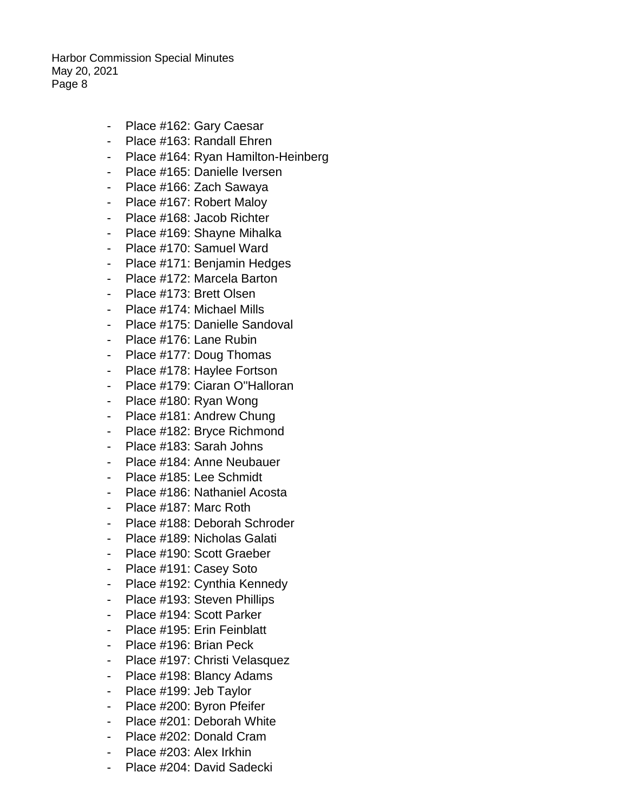- Place #162: Gary Caesar
- Place #163: Randall Ehren
- Place #164: Ryan Hamilton-Heinberg
- Place #165: Danielle Iversen
- Place #166: Zach Sawaya
- Place #167: Robert Maloy
- Place #168: Jacob Richter
- Place #169: Shavne Mihalka
- Place #170: Samuel Ward
- Place #171: Benjamin Hedges
- Place #172: Marcela Barton
- Place #173: Brett Olsen
- Place #174: Michael Mills
- Place #175: Danielle Sandoval
- Place #176: Lane Rubin
- Place #177: Doug Thomas
- Place #178: Haylee Fortson
- Place #179: Ciaran O''Halloran
- Place #180: Ryan Wong
- Place #181: Andrew Chung
- Place #182: Bryce Richmond
- Place #183: Sarah Johns
- Place #184: Anne Neubauer
- Place #185: Lee Schmidt
- Place #186: Nathaniel Acosta
- Place #187: Marc Roth
- Place #188: Deborah Schroder
- Place #189: Nicholas Galati
- Place #190: Scott Graeber
- Place #191: Casey Soto
- Place #192: Cynthia Kennedy
- Place #193: Steven Phillips
- Place #194: Scott Parker
- Place #195: Erin Feinblatt
- Place #196: Brian Peck
- Place #197: Christi Velasquez
- Place #198: Blancy Adams
- Place #199: Jeb Taylor
- Place #200: Byron Pfeifer
- Place #201: Deborah White
- Place #202: Donald Cram
- Place #203: Alex Irkhin
- Place #204: David Sadecki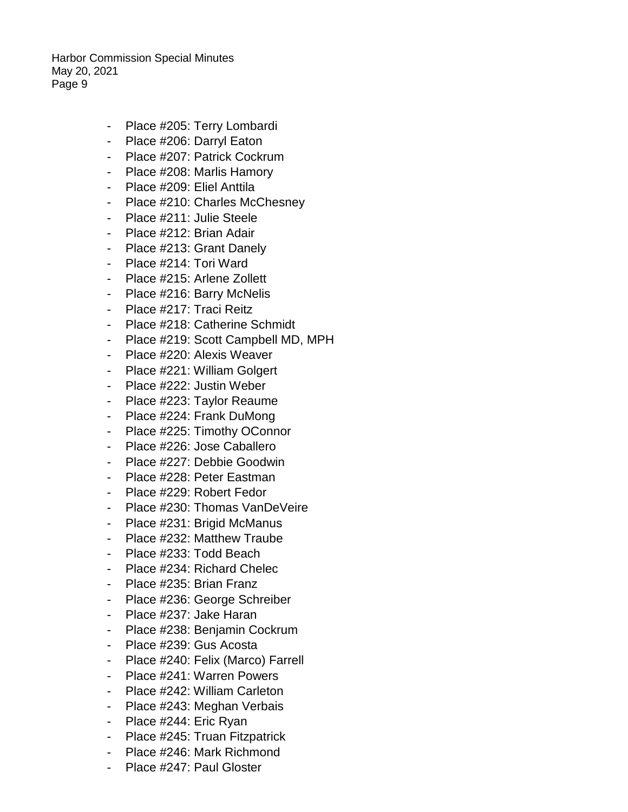- Place #205: Terry Lombardi
- Place #206: Darryl Eaton
- Place #207: Patrick Cockrum
- Place #208: Marlis Hamory
- Place #209: Eliel Anttila
- Place #210: Charles McChesney
- Place #211: Julie Steele
- Place #212: Brian Adair
- Place #213: Grant Danely
- Place #214: Tori Ward
- Place #215: Arlene Zollett
- Place #216: Barry McNelis
- Place #217: Traci Reitz
- Place #218: Catherine Schmidt
- Place #219: Scott Campbell MD, MPH
- Place #220: Alexis Weaver
- Place #221: William Golgert
- Place #222: Justin Weber
- Place #223: Taylor Reaume
- Place #224: Frank DuMong
- Place #225: Timothy OConnor
- Place #226: Jose Caballero
- Place #227: Debbie Goodwin
- Place #228: Peter Eastman
- Place #229: Robert Fedor
- Place #230: Thomas VanDeVeire
- Place #231: Brigid McManus
- Place #232: Matthew Traube
- Place #233: Todd Beach
- Place #234: Richard Chelec
- Place #235: Brian Franz
- Place #236: George Schreiber
- Place #237: Jake Haran
- Place #238: Benjamin Cockrum
- Place #239: Gus Acosta
- Place #240: Felix (Marco) Farrell
- Place #241: Warren Powers
- Place #242: William Carleton
- Place #243: Meghan Verbais
- Place #244: Eric Ryan
- Place #245: Truan Fitzpatrick
- Place #246: Mark Richmond
- Place #247: Paul Gloster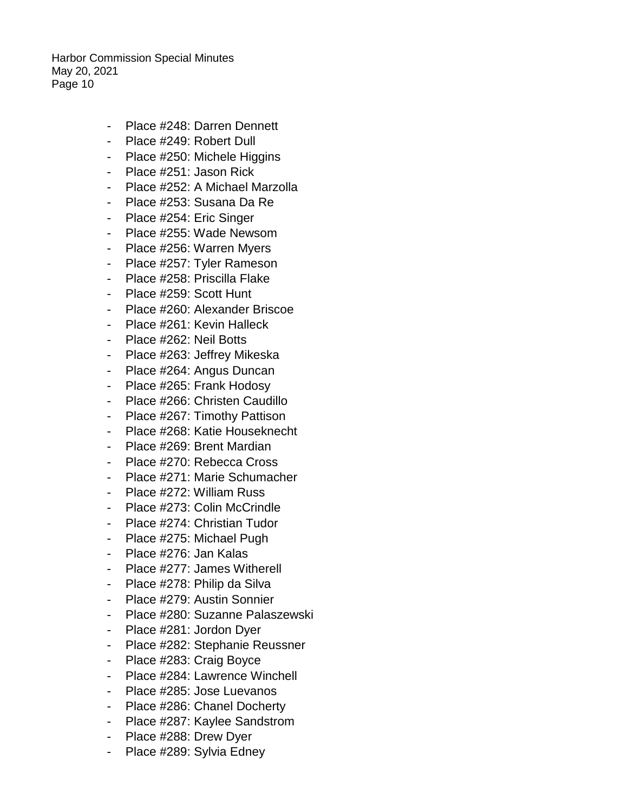- Place #248: Darren Dennett
- Place #249: Robert Dull
- Place #250: Michele Higgins
- Place #251: Jason Rick
- Place #252: A Michael Marzolla
- Place #253: Susana Da Re
- Place #254: Eric Singer
- Place #255: Wade Newsom
- Place #256: Warren Myers
- Place #257: Tyler Rameson
- Place #258: Priscilla Flake
- Place #259: Scott Hunt
- Place #260: Alexander Briscoe
- Place #261: Kevin Halleck
- Place #262: Neil Botts
- Place #263: Jeffrey Mikeska
- Place #264: Angus Duncan
- Place #265: Frank Hodosy
- Place #266: Christen Caudillo
- Place #267: Timothy Pattison
- Place #268: Katie Houseknecht
- Place #269: Brent Mardian
- Place #270: Rebecca Cross
- Place #271: Marie Schumacher
- Place #272: William Russ
- Place #273: Colin McCrindle
- Place #274: Christian Tudor
- Place #275: Michael Pugh
- Place #276: Jan Kalas
- Place #277: James Witherell
- Place #278: Philip da Silva
- Place #279: Austin Sonnier
- Place #280: Suzanne Palaszewski
- Place #281: Jordon Dyer
- Place #282: Stephanie Reussner
- Place #283: Craig Boyce
- Place #284: Lawrence Winchell
- Place #285: Jose Luevanos
- Place #286: Chanel Docherty
- Place #287: Kaylee Sandstrom
- Place #288: Drew Dyer
- Place #289: Sylvia Edney